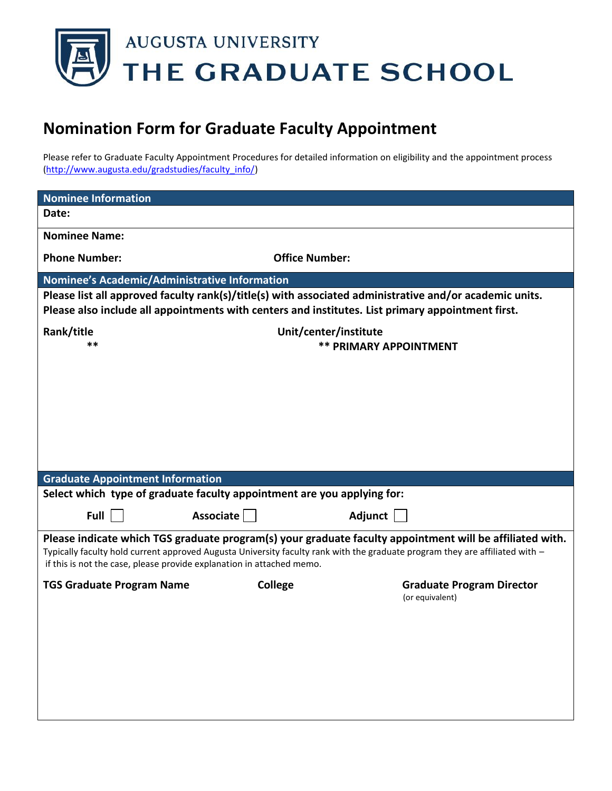

## **Nomination Form for Graduate Faculty Appointment**

Please refer to Graduate Faculty Appointment Procedures for detailed information on eligibility and the appointment process [\(http://www.augusta.edu/gradstudies/faculty\\_info/\)](http://www.augusta.edu/gradstudies/faculty_info/)

| Nominee's Academic/Administrative Information                                                           |                                                                                                                                                                                                                   |  |  |
|---------------------------------------------------------------------------------------------------------|-------------------------------------------------------------------------------------------------------------------------------------------------------------------------------------------------------------------|--|--|
| Please list all approved faculty rank(s)/title(s) with associated administrative and/or academic units. |                                                                                                                                                                                                                   |  |  |
|                                                                                                         | Please also include all appointments with centers and institutes. List primary appointment first.                                                                                                                 |  |  |
| Unit/center/institute                                                                                   |                                                                                                                                                                                                                   |  |  |
|                                                                                                         | <b>** PRIMARY APPOINTMENT</b>                                                                                                                                                                                     |  |  |
|                                                                                                         |                                                                                                                                                                                                                   |  |  |
|                                                                                                         |                                                                                                                                                                                                                   |  |  |
|                                                                                                         |                                                                                                                                                                                                                   |  |  |
|                                                                                                         |                                                                                                                                                                                                                   |  |  |
|                                                                                                         |                                                                                                                                                                                                                   |  |  |
|                                                                                                         |                                                                                                                                                                                                                   |  |  |
|                                                                                                         |                                                                                                                                                                                                                   |  |  |
| <b>Graduate Appointment Information</b>                                                                 |                                                                                                                                                                                                                   |  |  |
| Select which type of graduate faculty appointment are you applying for:                                 |                                                                                                                                                                                                                   |  |  |
|                                                                                                         | Adjunct                                                                                                                                                                                                           |  |  |
|                                                                                                         |                                                                                                                                                                                                                   |  |  |
|                                                                                                         | Please indicate which TGS graduate program(s) your graduate faculty appointment will be affiliated with.                                                                                                          |  |  |
| if this is not the case, please provide explanation in attached memo.                                   |                                                                                                                                                                                                                   |  |  |
|                                                                                                         | <b>Graduate Program Director</b>                                                                                                                                                                                  |  |  |
|                                                                                                         | (or equivalent)                                                                                                                                                                                                   |  |  |
|                                                                                                         |                                                                                                                                                                                                                   |  |  |
|                                                                                                         |                                                                                                                                                                                                                   |  |  |
|                                                                                                         |                                                                                                                                                                                                                   |  |  |
|                                                                                                         |                                                                                                                                                                                                                   |  |  |
|                                                                                                         |                                                                                                                                                                                                                   |  |  |
|                                                                                                         |                                                                                                                                                                                                                   |  |  |
|                                                                                                         |                                                                                                                                                                                                                   |  |  |
|                                                                                                         | <b>Office Number:</b><br>Associate<br>Typically faculty hold current approved Augusta University faculty rank with the graduate program they are affiliated with -<br>College<br><b>TGS Graduate Program Name</b> |  |  |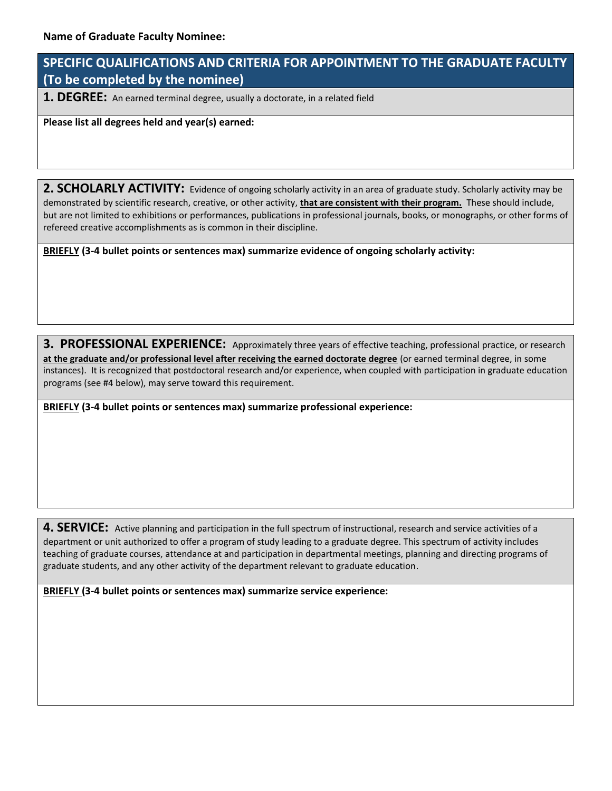## **SPECIFIC QUALIFICATIONS AND CRITERIA FOR APPOINTMENT TO THE GRADUATE FACULTY (To be completed by the nominee)**

**1. DEGREE:** An earned terminal degree, usually a doctorate, in a related field

**Please list all degrees held and year(s) earned:** 

2. SCHOLARLY ACTIVITY: Evidence of ongoing scholarly activity in an area of graduate study. Scholarly activity may be demonstrated by scientific research, creative, or other activity, **that are consistent with their program.** These should include, but are not limited to exhibitions or performances, publications in professional journals, books, or monographs, or other forms of refereed creative accomplishments as is common in their discipline.

**BRIEFLY (3-4 bullet points or sentences max) summarize evidence of ongoing scholarly activity:**

**3. PROFESSIONAL EXPERIENCE:** Approximately three years of effective teaching, professional practice, or research **at the graduate and/or professional level after receiving the earned doctorate degree** (or earned terminal degree, in some instances). It is recognized that postdoctoral research and/or experience, when coupled with participation in graduate education programs (see #4 below), may serve toward this requirement.

**BRIEFLY (3-4 bullet points or sentences max) summarize professional experience:** 

**4. SERVICE:** Active planning and participation in the full spectrum of instructional, research and service activities of a department or unit authorized to offer a program of study leading to a graduate degree. This spectrum of activity includes teaching of graduate courses, attendance at and participation in departmental meetings, planning and directing programs of graduate students, and any other activity of the department relevant to graduate education.

**BRIEFLY (3-4 bullet points or sentences max) summarize service experience:**